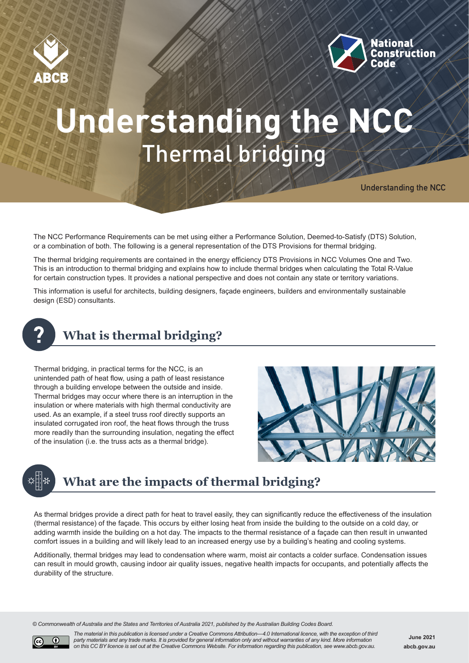



# **Understanding the NCC** Thermal bridging

**Understanding the NCC**

The NCC Performance Requirements can be met using either a Performance Solution, Deemed-to-Satisfy (DTS) Solution, or a combination of both. The following is a general representation of the DTS Provisions for thermal bridging.

The thermal bridging requirements are contained in the energy efficiency DTS Provisions in NCC Volumes One and Two. This is an introduction to thermal bridging and explains how to include thermal bridges when calculating the Total R-Value for certain construction types. It provides a national perspective and does not contain any state or territory variations.

This information is useful for architects, building designers, façade engineers, builders and environmentally sustainable design (ESD) consultants.



### **What is thermal bridging?**

Thermal bridging, in practical terms for the NCC, is an unintended path of heat flow, using a path of least resistance through a building envelope between the outside and inside. Thermal bridges may occur where there is an interruption in the insulation or where materials with high thermal conductivity are used. As an example, if a steel truss roof directly supports an insulated corrugated iron roof, the heat flows through the truss more readily than the surrounding insulation, negating the effect of the insulation (i.e. the truss acts as a thermal bridge).





### **What are the impacts of thermal bridging?**

As thermal bridges provide a direct path for heat to travel easily, they can significantly reduce the effectiveness of the insulation (thermal resistance) of the façade. This occurs by either losing heat from inside the building to the outside on a cold day, or adding warmth inside the building on a hot day. The impacts to the thermal resistance of a façade can then result in unwanted comfort issues in a building and will likely lead to an increased energy use by a building's heating and cooling systems.

Additionally, thermal bridges may lead to condensation where warm, moist air contacts a colder surface. Condensation issues can result in mould growth, causing indoor air quality issues, negative health impacts for occupants, and potentially affects the durability of the structure.

*© Commonwealth of Australia and the States and Territories of Australia 2021, published by the Australian Building Codes Board.*



*The material in this publication is licensed under a Creative Commons Attribution—4.0 International licence, with the exception of third party materials and any trade marks. It is provided for general information only and without warranties of any kind. More information on this CC BY licence is set out at the Creative Commons Website. For information regarding this publication, see www.abcb.gov.au.*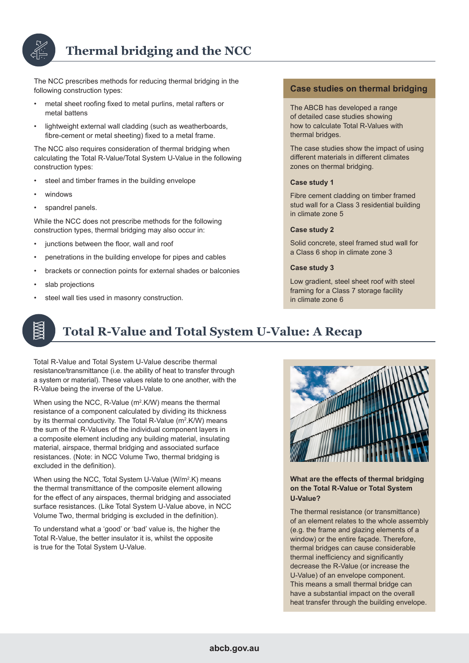

### **Thermal bridging and the NCC**

The NCC prescribes methods for reducing thermal bridging in the following construction types:

- metal sheet roofing fixed to metal purlins, metal rafters or metal battens
- lightweight external wall cladding (such as weatherboards, fibre-cement or metal sheeting) fixed to a metal frame.

The NCC also requires consideration of thermal bridging when calculating the Total R-Value/Total System U-Value in the following construction types:

- steel and timber frames in the building envelope
- windows
- spandrel panels.

While the NCC does not prescribe methods for the following construction types, thermal bridging may also occur in:

- junctions between the floor, wall and roof
- penetrations in the building envelope for pipes and cables
- brackets or connection points for external shades or balconies
- slab projections
- steel wall ties used in masonry construction.

#### **Case studies on thermal bridging**

The ABCB has developed a range of detailed case studies showing how to calculate Total R-Values with thermal bridges.

The case studies show the impact of using different materials in different climates zones on thermal bridging.

#### **Case study 1**

Fibre cement cladding on timber framed stud wall for a Class 3 residential building in climate zone 5

#### **Case study 2**

Solid concrete, steel framed stud wall for a Class 6 shop in climate zone 3

#### **Case study 3**

Low gradient, steel sheet roof with steel framing for a Class 7 storage facility in climate zone 6

# **Total R-Value and Total System U-Value: A Recap**

Total R-Value and Total System U-Value describe thermal resistance/transmittance (i.e. the ability of heat to transfer through a system or material). These values relate to one another, with the R-Value being the inverse of the U-Value.

When using the NCC, R-Value (m<sup>2</sup>.K/W) means the thermal resistance of a component calculated by dividing its thickness by its thermal conductivity. The Total R-Value (m<sup>2</sup>.K/W) means the sum of the R-Values of the individual component layers in a composite element including any building material, insulating material, airspace, thermal bridging and associated surface resistances. (Note: in NCC Volume Two, thermal bridging is excluded in the definition).

When using the NCC, Total System U-Value (W/m<sup>2</sup>.K) means the thermal transmittance of the composite element allowing for the effect of any airspaces, thermal bridging and associated surface resistances. (Like Total System U-Value above, in NCC Volume Two, thermal bridging is excluded in the definition).

To understand what a 'good' or 'bad' value is, the higher the Total R-Value, the better insulator it is, whilst the opposite is true for the Total System U-Value.



**What are the effects of thermal bridging on the Total R-Value or Total System U-Value?**

The thermal resistance (or transmittance) of an element relates to the whole assembly (e.g. the frame and glazing elements of a window) or the entire facade. Therefore, thermal bridges can cause considerable thermal inefficiency and significantly decrease the R-Value (or increase the U-Value) of an envelope component. This means a small thermal bridge can have a substantial impact on the overall heat transfer through the building envelope.